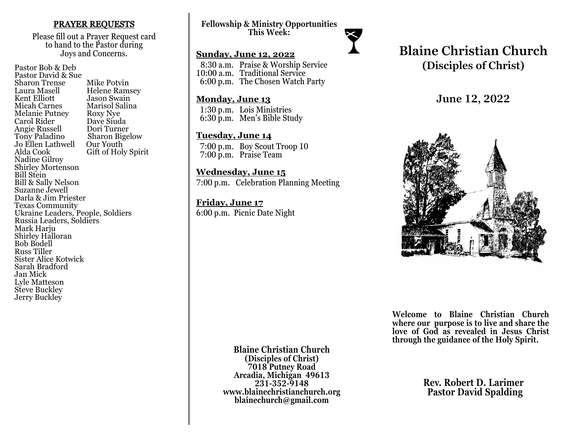### PRAYER REQUESTS

Please fill out a Prayer Request card to hand to the Pastor during Joys and Concerns.

Pastor Bob & Deb Pastor David & Sue Sharon Trense Mike Potvin<br>Laura Masell Helene Ram Laura Masell Helene Ramsey<br>Kent Elliott Jason Swain Kent Elliott Jason Swain<br>
Micah Carnes Marisol Salir Marisol Salina<br>Roxy Nye Melanie Putney Roxy Nye<br>Carol Rider Dave Siuda Carol Rider Dave Siuda Angie Russell<br>Tony Paladino Sharon Bigelow<br>Our Youth Jo Ellen Lathwell<br>Alda Cook Gift of Holy Spirit Nadine Gilroy Shirley Mortenson Bill Stein Bill & Sally Nelson Suzanne Jewell Darla & Jim Priester Texas Community Ukraine Leaders, People, Soldiers Russia Leaders, Soldiers Mark Harju Shirley Halloran Bob Bodell Russ Tiller Sister Alice Kotwick Sarah Bradford Jan Mick Lyle Matteson Steve Buckley Jerry Buckley

**Fellowship & Ministry Opportunities This Week:**

### **Sunday, June 12, 2022**

 8:30 a.m. Praise & Worship Service 10:00 a.m. Traditional Service 6:00 p.m. The Chosen Watch Party

### **Monday, June 13**

 1:30 p.m. Lois Ministries 6:30 p.m. Men's Bible Study

### **Tuesday, June 14**

 7:00 p.m. Boy Scout Troop 10 7:00 p.m. Praise Team

### **Wednesday, June 15**

7:00 p.m. Celebration Planning Meeting

### **Friday, June 17** 6:00 p.m. Picnic Date Night

# **Blaine Christian Church (Disciples of Christ)**

**June 12, 2022**



**Welcome to Blaine Christian Church where our purpose is to live and share the love of God as revealed in Jesus Christ through the guidance of the Holy Spirit.**

**Blaine Christian Church (Disciples of Christ) 7018 Putney Road Arcadia, Michigan 49613 231-352-9148 www.blainechristianchurch.org blainechurch@gmail.com**

**Rev. Robert D. Larimer Pastor David Spalding**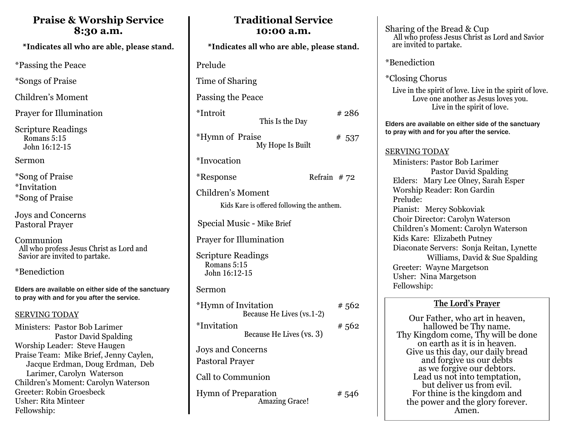# **Praise & Worship Service 8:30 a.m.**

\*Indicates all who are able, please stand.

\*Passing the Peace

\*Songs of Praise

Children's Moment

Prayer for Illumination

Scripture Readings Romans 5:15 John 16:12-15

Sermon

\*Song of Praise \*Invitation \*Song of Praise

Joys and Concerns Pastoral Prayer

Communion All who profess Jesus Christ as Lord and Savior are invited to partake.

\*Benediction

Elders are available on either side of the sanctuary to pray with and for you after the service.

## SERVING TODAY

Ministers: Pastor Bob Larimer Pastor David Spalding Worship Leader: Steve Haugen Praise Team: Mike Brief, Jenny Caylen, Jacque Erdman, Doug Erdman, Deb Larimer, Carolyn Waterson Children's Moment: Carolyn Waterson Greeter: Robin Groesbeck Usher: Rita Minteer Fellowship:

| *Indicates all who are able, please stand.                      |               |
|-----------------------------------------------------------------|---------------|
| Prelude                                                         |               |
|                                                                 |               |
| Time of Sharing                                                 |               |
| Passing the Peace                                               |               |
| *Introit<br>This Is the Day                                     | #286          |
| <i><b>*Hymn of Praise</b></i><br>My Hope Is Built               | # 537         |
| *Invocation                                                     |               |
| *Response                                                       | Refrain $#72$ |
| Children's Moment<br>Kids Kare is offered following the anthem. |               |
| Special Music - Mike Brief                                      |               |
| <b>Prayer for Illumination</b>                                  |               |
| <b>Scripture Readings</b><br>Romans 5:15<br>John 16:12-15       |               |
| Sermon                                                          |               |
| *Hymn of Invitation<br>Because He Lives (vs.1-2)                | # 562         |
| *Invitation<br>Because He Lives (vs. 3)                         | # 562         |
| Joys and Concerns<br>Pastoral Prayer                            |               |
| Call to Communion                                               |               |
| <b>Hymn of Preparation</b><br><b>Amazing Grace!</b>             | # 546         |

**Traditional Service 10:00 a.m.** 

Sharing of the Bread & Cup All who profess Jesus Christ as Lord and Savior are invited to partake.

\*Benediction

\*Closing Chorus

Live in the spirit of love. Live in the spirit of love. Love one another as Jesus loves you. Live in the spirit of love.

Elders are available on either side of the sanctuary to pray with and for you after the service.

### SERVING TODAY

 Ministers: Pastor Bob Larimer Pastor David Spalding Elders: Mary Lee Olney, Sarah Esper Worship Reader: Ron Gardin Prelude: Pianist: Mercy Sobkoviak Choir Director: Carolyn Waterson Children's Moment: Carolyn Waterson Kids Kare: Elizabeth Putney Diaconate Servers: Sonja Reitan, Lynette Williams, David & Sue Spalding Greeter: Wayne Margetson Usher: Nina Margetson Fellowship:

# **The Lord's Prayer**

Our Father, who art in heaven, hallowed be Thy name. Thy Kingdom come, Thy will be done on earth as it is in heaven. Give us this day, our daily bread and forgive us our debts as we forgive our debtors. Lead us not into temptation, but deliver us from evil. For thine is the kingdom and the power and the glory forever. Amen.